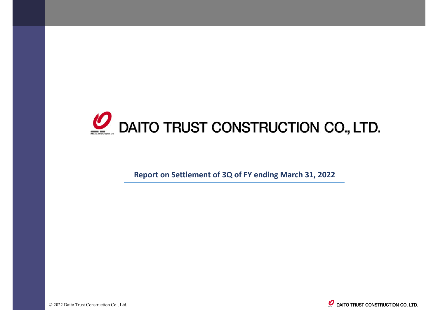

**Report on Settlement of 3Q of FY ending March 31, 2022** 

© 2022 Daito Trust Construction Co., Ltd.

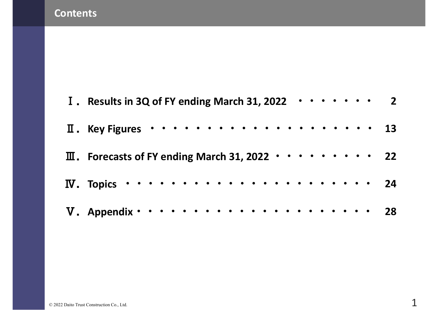#### **Contents**

| I. Results in 3Q of FY ending March 31, 2022 $\cdot \cdot \cdot \cdot \cdot \cdot$ 2 |  |  |  |  |
|--------------------------------------------------------------------------------------|--|--|--|--|
|                                                                                      |  |  |  |  |
| $\overline{11}$ . Forecasts of FY ending March 31, 2022 $\cdots \cdots \cdots$ 22    |  |  |  |  |
| IV. Topics $\cdots$ 24                                                               |  |  |  |  |
|                                                                                      |  |  |  |  |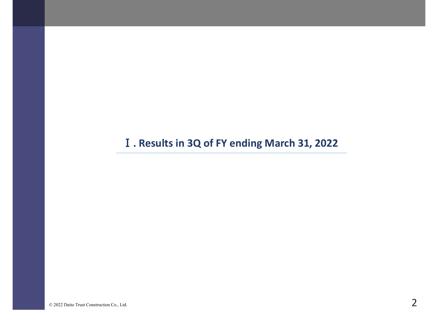### Ⅰ**. Results in 3Q of FY ending March 31, 2022**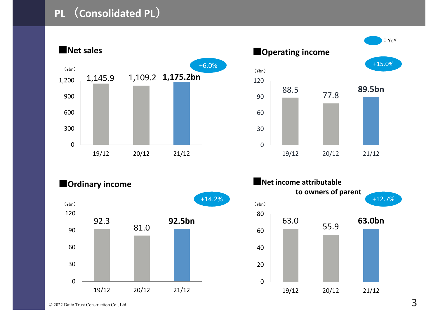# **PL (Consolidated PL)**

1,145.9 1,109.2 **1,175.2bn** 03006009001,200 19/12 20/12 21/12 +6.0% **■Net sales**(¥bn) $(\csc)$ 





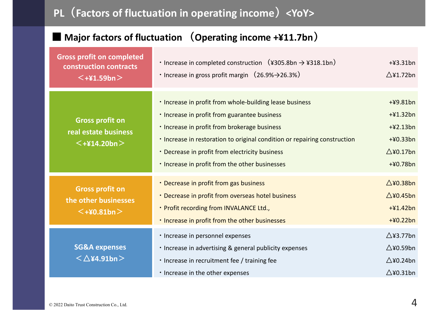# **PL(Factors of fluctuation in operating income)<YoY>**

#### **■ Major factors of fluctuation (Operating income +¥11.7bn)**

| <b>Gross profit on completed</b><br>construction contracts<br>$\leq$ +¥1.59bn $>$ | $\cdot$ Increase in completed construction $(\frac{4305.8}{m} \rightarrow \frac{4318.1}{m})$<br>$\cdot$ Increase in gross profit margin $(26.9\% \rightarrow 26.3\%)$                                                                                                                                                                    | $+43.31bn$<br>$\triangle$ ¥1.72bn                                                         |
|-----------------------------------------------------------------------------------|------------------------------------------------------------------------------------------------------------------------------------------------------------------------------------------------------------------------------------------------------------------------------------------------------------------------------------------|-------------------------------------------------------------------------------------------|
| <b>Gross profit on</b><br>real estate business<br>$\leq +214.20$ bn $>$           | . Increase in profit from whole-building lease business<br>. Increase in profit from guarantee business<br>. Increase in profit from brokerage business<br>. Increase in restoration to original condition or repairing construction<br>• Decrease in profit from electricity business<br>. Increase in profit from the other businesses | $+49.81bn$<br>$+41.32bn$<br>$+42.13bn$<br>$+40.33bn$<br>$\triangle$ ¥0.17bn<br>$+40.78bn$ |
| <b>Gross profit on</b><br>the other businesses<br>$<$ +¥0.81bn $>$                | • Decrease in profit from gas business<br>• Decrease in profit from overseas hotel business<br>· Profit recording from INVALANCE Ltd.,<br>. Increase in profit from the other businesses                                                                                                                                                 | $\triangle$ ¥0.38bn<br>$\triangle$ ¥0.45bn<br>$+41.42bn$<br>$+40.22bn$                    |
| <b>SG&amp;A expenses</b><br>$<$ $\triangle$ ¥4.91bn $>$                           | · Increase in personnel expenses<br>. Increase in advertising & general publicity expenses<br>. Increase in recruitment fee / training fee<br>. Increase in the other expenses                                                                                                                                                           | $\triangle$ ¥3.77bn<br>$\triangle$ ¥0.59bn<br>$\triangle$ ¥0.24bn<br>$\triangle$ ¥0.31bn  |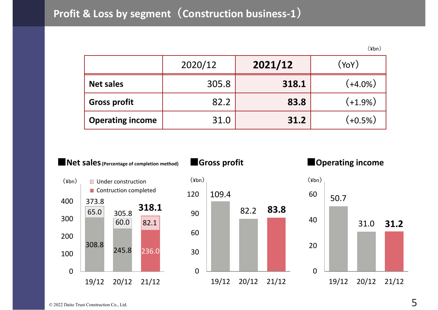# **Profit & Loss by segment(Construction business-1)**

(¥bn)

|                         | 2020/12 | 2021/12 | (YoY)      |
|-------------------------|---------|---------|------------|
| <b>Net sales</b>        | 305.8   | 318.1   | $(+4.0\%)$ |
| <b>Gross profit</b>     | 82.2    | 83.8    | $(+1.9\%)$ |
| <b>Operating income</b> | 31.0    | 31.2    | $(+0.5%)$  |

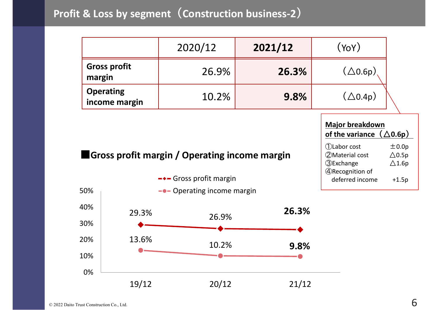# **Profit & Loss by segment(Construction business-2)**

|                                   | 2020/12 | 2021/12 | (YoY)              |
|-----------------------------------|---------|---------|--------------------|
| <b>Gross profit</b><br>margin     | 26.9%   | 26.3%   | $(\triangle$ 0.6p) |
| <b>Operating</b><br>income margin | 10.2%   | 9.8%    | $(\triangle 0.4p)$ |

Gross profit margin

| <b>Major breakdown</b>             |                  |  |  |  |  |  |  |
|------------------------------------|------------------|--|--|--|--|--|--|
| of the variance $(\triangle 0.6p)$ |                  |  |  |  |  |  |  |
| 1)Labor cost                       | ±0.0p            |  |  |  |  |  |  |
| 2Material cost                     | $\triangle$ 0.5p |  |  |  |  |  |  |
| <b>3</b> Exchange                  | $\triangle$ 1.6p |  |  |  |  |  |  |
| 4 Recognition of                   |                  |  |  |  |  |  |  |
| deferred income                    | $+1.5p$          |  |  |  |  |  |  |
|                                    |                  |  |  |  |  |  |  |

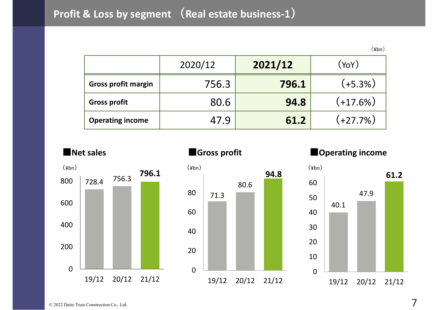# **Profit & Loss by segment (Real estate business-1)**

(¥bn)

47.9

**61.2**

|                            | 2020/12 | 2021/12 | (YoY)      |
|----------------------------|---------|---------|------------|
| <b>Gross profit margin</b> | 756.3   | 796.1   | $(+5.3%)$  |
| <b>Gross profit</b>        | 80.6    | 94.8    | $(+17.6%)$ |
| <b>Operating income</b>    | 47.9    | 61.2    | $(+27.7%)$ |



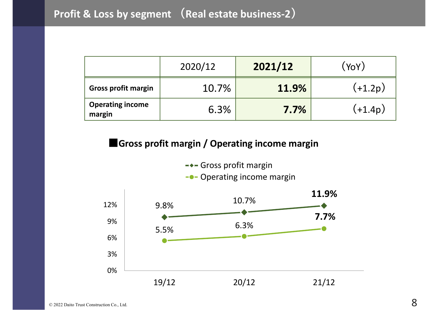|                                   | 2020/12 | 2021/12      | (YoY)   |
|-----------------------------------|---------|--------------|---------|
| <b>Gross profit margin</b>        | 10.7%   | <b>11.9%</b> | (+1.2p) |
| <b>Operating income</b><br>margin | 6.3%    | 7.7%         | (+1.4p) |

#### **■Gross profit margin / Operating income margin**

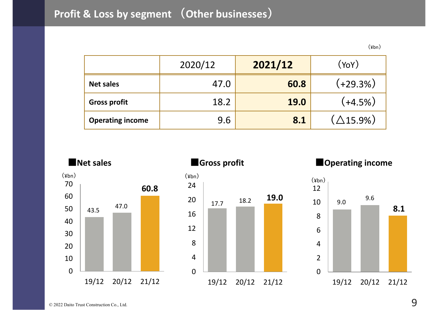# **Profit & Loss by segment (Other businesses)**

(¥bn)

|                         | 2020/12 | 2021/12     | (YoY)                           |
|-------------------------|---------|-------------|---------------------------------|
| <b>Net sales</b>        | 47.0    | 60.8        | (+29.3%)                        |
| <b>Gross profit</b>     | 18.2    | <b>19.0</b> | $(+4.5%)$                       |
| <b>Operating income</b> | 9.6     | 8.1         | $\left(\triangle 15.9\%\right)$ |

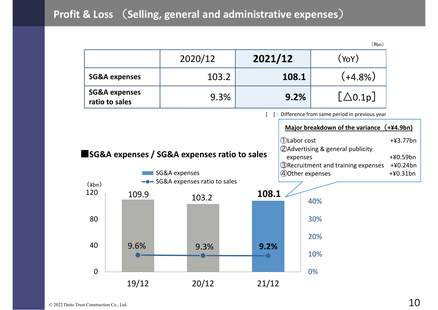# **Profit & Loss** (**Selling, general and administrative expenses**)

|                        |                                            |                                              |         |                 | $(\frac{4}{10})$                                  |             |
|------------------------|--------------------------------------------|----------------------------------------------|---------|-----------------|---------------------------------------------------|-------------|
|                        |                                            | 2020/12                                      | 2021/12 |                 | (YoY)                                             |             |
|                        | <b>SG&amp;A expenses</b>                   | 103.2                                        |         | 108.1           | $(+4.8\%)$                                        |             |
|                        | <b>SG&amp;A expenses</b><br>ratio to sales | 9.3%                                         | 9.2%    |                 | $[\triangle 0.1p]$                                |             |
|                        |                                            |                                              |         |                 | [ ]: Difference from same period in previous year |             |
|                        |                                            |                                              |         |                 | Major breakdown of the variance                   | $(+44.9bn)$ |
|                        |                                            |                                              |         | 1)Labor cost    |                                                   | $+43.77$ bn |
|                        |                                            |                                              |         |                 | <b>2</b> Advertising & general publicity          |             |
|                        |                                            | SG&A expenses / SG&A expenses ratio to sales |         | expenses        |                                                   | $+40.59bn$  |
|                        |                                            |                                              |         |                 | <b>3</b> Recruitment and training expenses        | $+40.24bn$  |
|                        |                                            | SG&A expenses                                |         | 4Other expenses |                                                   | $+40.31bn$  |
| $(\frac{\gamma}{\pi})$ |                                            | -• SG&A expenses ratio to sales              |         |                 |                                                   |             |
| 120                    | 109.9                                      |                                              | 108.1   |                 |                                                   |             |
|                        |                                            | 103.2                                        |         |                 | 40%                                               |             |
|                        |                                            |                                              |         |                 |                                                   |             |
| 80                     |                                            |                                              |         |                 | 30%                                               |             |
|                        |                                            |                                              |         |                 | 20%                                               |             |
| 40                     | 9.6%                                       | 9.3%                                         | 9.2%    |                 |                                                   |             |
|                        |                                            |                                              |         |                 | 10%                                               |             |
|                        |                                            |                                              |         |                 |                                                   |             |
| $\overline{0}$         |                                            |                                              |         |                 | 0%                                                |             |
|                        | 19/12                                      | 20/12                                        | 21/12   |                 |                                                   |             |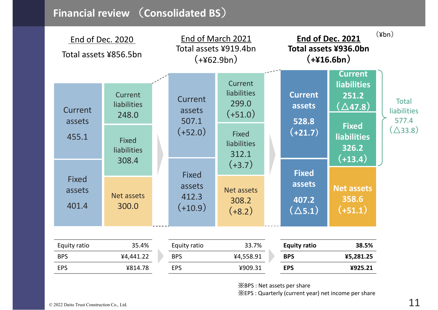### **Financial review** (**Consolidated BS**)

| End of Dec. 2020<br>Total assets ¥856.5bn |                                             |  | End of March 2021<br>Total assets ¥919.4bn<br>$(+462.9bn)$ |                                                         | End of Dec. 2021<br>Total assets ¥936.0bn<br>$(+416.6bn)$ | $(\frac{\gamma}{\pi})$                                                 |                                             |
|-------------------------------------------|---------------------------------------------|--|------------------------------------------------------------|---------------------------------------------------------|-----------------------------------------------------------|------------------------------------------------------------------------|---------------------------------------------|
| Current<br>assets                         | Current<br><b>liabilities</b><br>248.0      |  | Current<br>assets<br>507.1                                 | Current<br><b>liabilities</b><br>299.0<br>$(+51.0)$     | <b>Current</b><br>assets<br>528.8                         | <b>Current</b><br><b>liabilities</b><br>251.2<br>$(\triangle$ 47.8 $)$ | <b>Total</b><br><b>liabilities</b><br>577.4 |
| 455.1                                     | <b>Fixed</b><br><b>liabilities</b><br>308.4 |  | $(+52.0)$                                                  | <b>Fixed</b><br><b>liabilities</b><br>312.1<br>$(+3.7)$ | $(+21.7)$                                                 | <b>Fixed</b><br><b>liabilities</b><br>326.2<br>$(+13.4)$               | $(\triangle$ 33.8)                          |
| <b>Fixed</b><br>assets<br>401.4           | Net assets<br>300.0                         |  | <b>Fixed</b><br>assets<br>412.3<br>$(+10.9)$               | <b>Net assets</b><br>308.2<br>$(+8.2)$                  | <b>Fixed</b><br>assets<br>407.2<br>$(\triangle 5.1)$      | <b>Net assets</b><br>358.6<br>$(+51.1)$                                |                                             |
| Equity ratio<br><b>BPS</b><br><b>EPS</b>  | 35.4%<br>¥4,441.22<br>¥814.78               |  | Equity ratio<br><b>BPS</b><br><b>EPS</b>                   | 33.7%<br>¥4,558.91<br>¥909.31                           | <b>Equity ratio</b><br><b>BPS</b><br><b>EPS</b>           | 38.5%<br>¥5,281.25<br>¥925.21                                          |                                             |

※BPS : Net assets per share

※EPS : Quarterly (current year) net income per share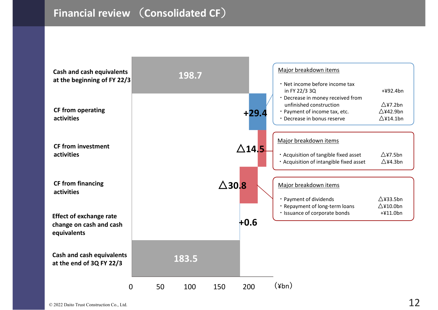### **Financial review** (**Consolidated CF**)

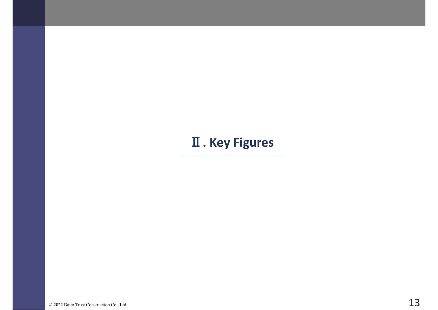# **. Key Figures**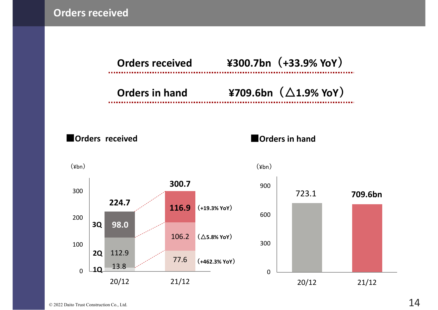**Orders received**



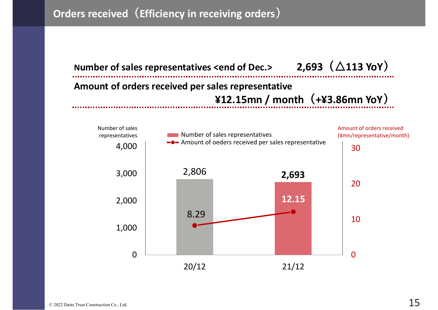# **Orders received(Efficiency in receiving orders)**



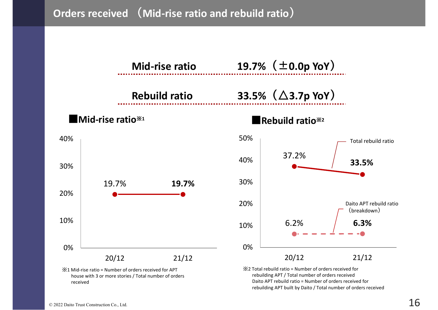**Orders received (Mid-rise ratio and rebuild ratio)**



© 2022 Daito Trust Construction Co., Ltd.  $16$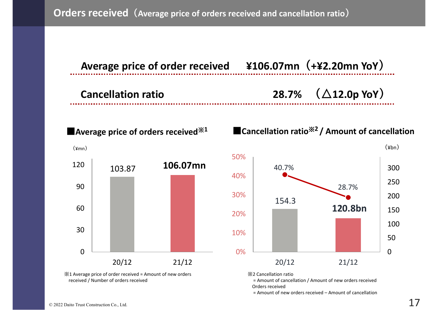

※1 Average price of order received = Amount of new orders received / Number of orders received

※2 Cancellation ratio

= Amount of cancellation / Amount of new orders received Orders received

= Amount of new orders received – Amount of cancellation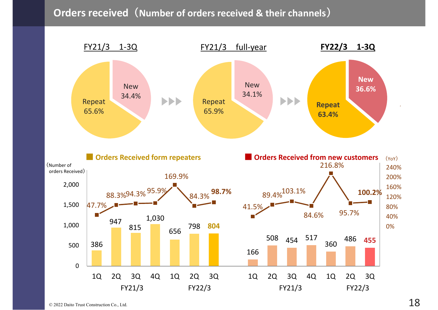#### **Orders received(Number of orders received & their channels)**

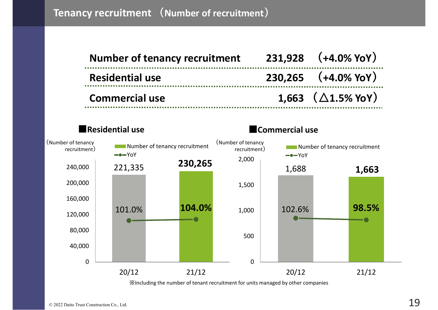| <b>Number of tenancy recruitment</b> | $231,928$ $(+4.0\%$ YoY)      |
|--------------------------------------|-------------------------------|
| <b>Residential use</b>               | $230,265$ $(+4.0\%$ YoY)      |
| <b>Commercial use</b>                | 1.663 $(\triangle 1.5\%$ YoY) |



※Including the number of tenant recruitment for units managed by other companies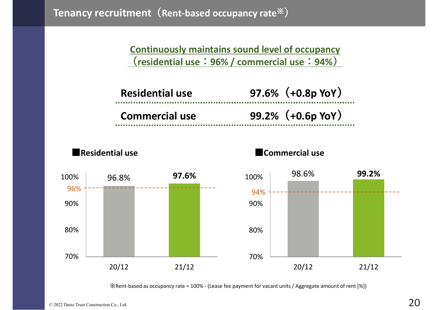**Continuously maintains sound level of occupancy (residential use:96% / commercial use:94%)**

| <b>Residential use</b> | $97.6\%$ (+0.8p YoY)   |
|------------------------|------------------------|
| <b>Commercial use</b>  | $99.2\%$ $(+0.6p$ YoY) |









※Rent-based as occupancy rate = 100% - (Lease fee payment for vacant units / Aggregate amount of rent [%])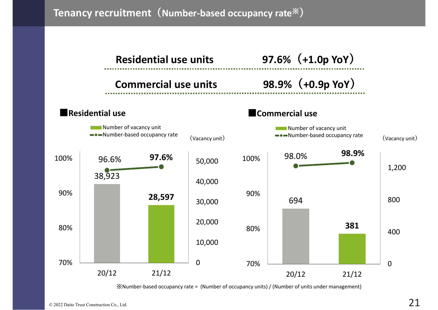**Tenancy recruitment(Number-based occupancy rate**※**)**



※Number-based occupancy rate = (Number of occupancy units) / (Number of units under management)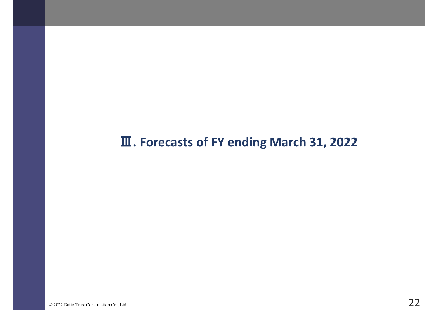# **. Forecasts of FY ending March 31, 2022**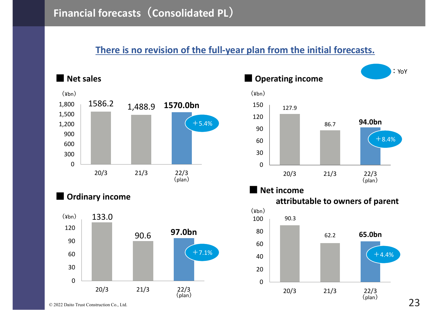#### **There is no revision of the full-year plan from the initial forecasts.**







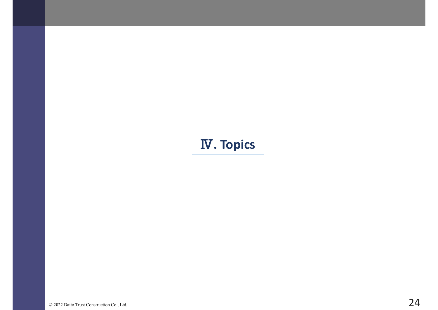# Ⅳ**. Topics**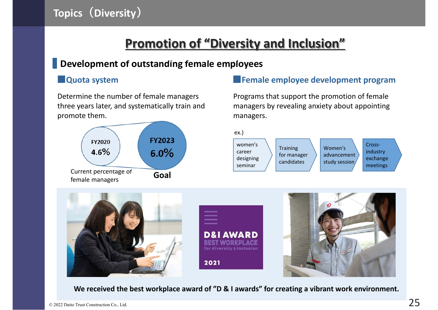# **Promotion of "Diversity and Inclusion"**

ex.)

career designing seminar

#### **Development of outstanding female employees**

Determine the number of female managers three years later, and systematically train and promote them.



#### **■Quota system ■Female employee development program**

Programs that support the promotion of female managers by revealing anxiety about appointing managers.



**Training** for manager candidates

Women's advancement study session

Crossindustry exchange meetings



**We received the best workplace award of "D & I awards" for creating a vibrant work environment.**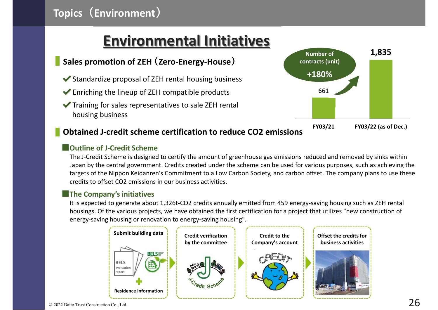# **Environmental Initiatives**

#### **Sales promotion of ZEH (Zero-Energy-House)**

- $\blacktriangleright$  Standardize proposal of ZEH rental housing business
- $\blacktriangleright$  Enriching the lineup of ZEH compatible products
- $\blacktriangleright$  Training for sales representatives to sale ZEH rental housing business



#### **Obtained J-credit scheme certification to reduce CO2 emissions**

#### **■Outline of J-Credit Scheme**

The J-Credit Scheme is designed to certify the amount of greenhouse gas emissions reduced and removed by sinks within Japan by the central government. Credits created under the scheme can be used for various purposes, such as achieving the targets of the Nippon Keidanren's Commitment to a Low Carbon Society, and carbon offset. The company plans to use these credits to offset CO2 emissions in our business activities.

#### **■The Company's initiatives**

It is expected to generate about 1,326t-CO2 credits annually emitted from 459 energy-saving housing such as ZEH rental housings. Of the various projects, we have obtained the first certification for a project that utilizes "new construction of energy-saving housing or renovation to energy-saving housing".

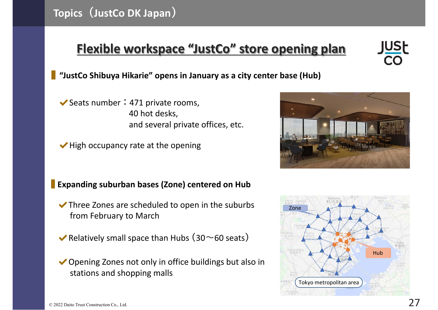# **Flexible workspace "JustCo" store opening plan**

#### **"JustCo Shibuya Hikarie" opens in January as a city center base (Hub)**

- $\blacktriangleright$  Seats number : 471 private rooms, 40 hot desks, and several private offices, etc.
- ◆ High occupancy rate at the opening

#### **Expanding suburban bases (Zone) centered on Hub**

- $\blacktriangleright$  Three Zones are scheduled to open in the suburbs from February to March
- $\blacktriangleright$  Relatively small space than Hubs (30~60 seats)
- ◆ Opening Zones not only in office buildings but also in stations and shopping malls





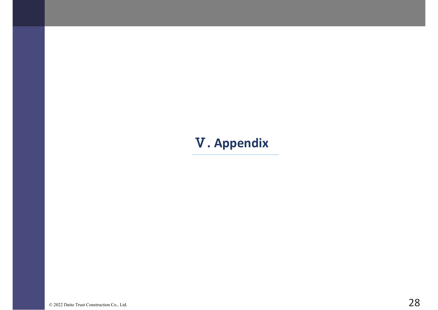# Ⅴ**. Appendix**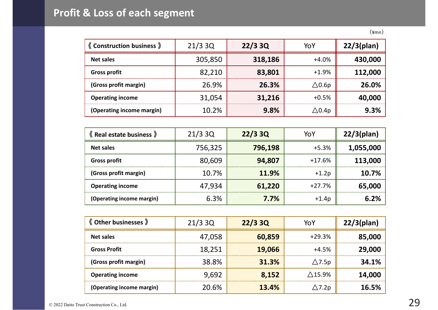# **Profit & Loss of each segment**

| <b>《Construction business</b> 》 | 21/33Q  | 22/33Q  | YoY                   | $22/3$ (plan) |
|---------------------------------|---------|---------|-----------------------|---------------|
| <b>Net sales</b>                | 305,850 | 318,186 | $+4.0%$               | 430,000       |
| <b>Gross profit</b>             | 82,210  | 83,801  | $+1.9%$               | 112,000       |
| (Gross profit margin)           | 26.9%   | 26.3%   | $\triangle$ 0.6p      | 26.0%         |
| <b>Operating income</b>         | 31,054  | 31,216  | $+0.5%$               | 40,000        |
| (Operating income margin)       | 10.2%   | 9.8%    | $\bigtriangleup$ 0.4p | 9.3%          |

| <b>K</b> Real estate business » | 21/33Q  | 22/33Q  | YoY      | $22/3$ (plan) |
|---------------------------------|---------|---------|----------|---------------|
| <b>Net sales</b>                | 756,325 | 796,198 | $+5.3%$  | 1,055,000     |
| <b>Gross profit</b>             | 80,609  | 94,807  | $+17.6%$ | 113,000       |
| (Gross profit margin)           | 10.7%   | 11.9%   | $+1.2p$  | 10.7%         |
| <b>Operating income</b>         | 47,934  | 61,220  | $+27.7%$ | 65,000        |
| (Operating income margin)       | 6.3%    | 7.7%    | $+1.4p$  | 6.2%          |

| <b>《Other businesses</b> 》 | 21/33Q | 22/33Q | YoY              | $22/3$ (plan) |
|----------------------------|--------|--------|------------------|---------------|
| <b>Net sales</b>           | 47,058 | 60,859 | $+29.3%$         | 85,000        |
| <b>Gross Profit</b>        | 18,251 | 19,066 | $+4.5%$          | 29,000        |
| (Gross profit margin)      | 38.8%  | 31.3%  | $\triangle$ 7.5p | 34.1%         |
| <b>Operating income</b>    | 9,692  | 8,152  | $\wedge$ 15.9%   | 14,000        |
| (Operating income margin)  | 20.6%  | 13.4%  | $\triangle$ 7.2p | 16.5%         |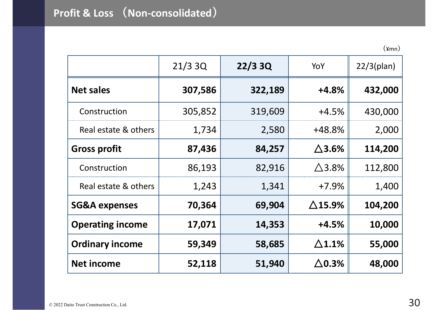|                          | 21/33Q  | 22/33Q  | YoY               | $22/3$ (plan) |  |
|--------------------------|---------|---------|-------------------|---------------|--|
| <b>Net sales</b>         | 307,586 | 322,189 | $+4.8%$           | 432,000       |  |
| Construction             | 305,852 | 319,609 | $+4.5%$           | 430,000       |  |
| Real estate & others     | 1,734   | 2,580   | +48.8%            | 2,000         |  |
| <b>Gross profit</b>      | 87,436  | 84,257  | $\Delta$ 3.6%     | 114,200       |  |
| Construction             | 86,193  | 82,916  | $\triangle$ 3.8%  | 112,800       |  |
| Real estate & others     | 1,243   | 1,341   | $+7.9%$           | 1,400         |  |
| <b>SG&amp;A expenses</b> | 70,364  | 69,904  | $\triangle$ 15.9% | 104,200       |  |
| <b>Operating income</b>  | 17,071  | 14,353  | $+4.5%$           | 10,000        |  |
| <b>Ordinary income</b>   | 59,349  | 58,685  | $\triangle$ 1.1%  | 55,000        |  |
| <b>Net income</b>        | 52,118  | 51,940  | $\Delta$ 0.3%     | 48,000        |  |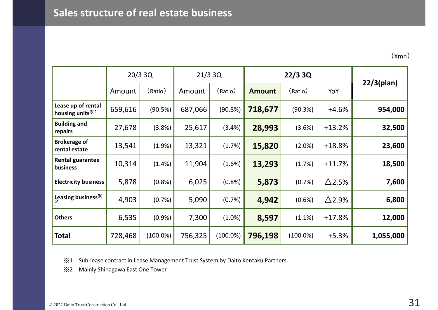|                                                   |         | $20/3$ 3Q   | 21/33Q  |             | 22/33Q        |             |                  |               |
|---------------------------------------------------|---------|-------------|---------|-------------|---------------|-------------|------------------|---------------|
|                                                   | Amount  | (Ratio)     | Amount  | (Ratio)     | <b>Amount</b> | (Ratio)     | YoY              | $22/3$ (plan) |
| Lease up of rental<br>housing units <sup>*1</sup> | 659,616 | (90.5%)     | 687,066 | (90.8%)     | 718,677       | (90.3%)     | $+4.6%$          | 954,000       |
| <b>Building and</b><br>repairs                    | 27,678  | (3.8%)      | 25,617  | (3.4%)      | 28,993        | (3.6%)      | $+13.2%$         | 32,500        |
| <b>Brokerage of</b><br>rental estate              | 13,541  | (1.9%)      | 13,321  | (1.7%)      | 15,820        | (2.0%)      | $+18.8%$         | 23,600        |
| <b>Rental guarantee</b><br>business               | 10,314  | (1.4%)      | 11,904  | (1.6%)      | 13,293        | (1.7%)      | $+11.7%$         | 18,500        |
| <b>Electricity business</b>                       | 5,878   | (0.8%       | 6,025   | (0.8% )     | 5,873         | (0.7%)      | $\triangle$ 2.5% | 7,600         |
| Leasing business*                                 | 4,903   | (0.7%)      | 5,090   | (0.7%)      | 4,942         | $(0.6\%)$   | $\triangle$ 2.9% | 6,800         |
| <b>Others</b>                                     | 6,535   | (0.9%       | 7,300   | $(1.0\%)$   | 8,597         | $(1.1\%)$   | $+17.8%$         | 12,000        |
| Total                                             | 728,468 | $(100.0\%)$ | 756,325 | $(100.0\%)$ | 796,198       | $(100.0\%)$ | $+5.3%$          | 1,055,000     |

※<sup>1</sup> Sub-lease contract in Lease Management Trust System by Daito Kentaku Partners.

※<sup>2</sup> Mainly Shinagawa East One Tower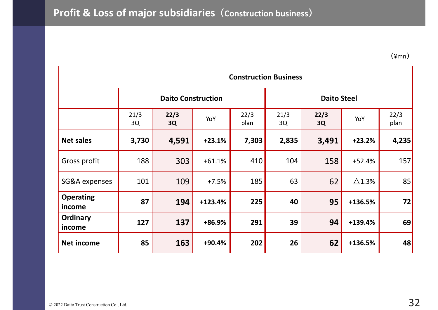|                            |            | <b>Construction Business</b> |          |              |            |                    |                  |              |  |  |  |  |
|----------------------------|------------|------------------------------|----------|--------------|------------|--------------------|------------------|--------------|--|--|--|--|
|                            |            | <b>Daito Construction</b>    |          |              |            | <b>Daito Steel</b> |                  |              |  |  |  |  |
|                            | 21/3<br>3Q | 22/3<br>3Q                   | YoY      | 22/3<br>plan | 21/3<br>3Q | 22/3<br>3Q         | YoY              | 22/3<br>plan |  |  |  |  |
| <b>Net sales</b>           | 3,730      | 4,591                        | $+23.1%$ | 7,303        | 2,835      | 3,491              | $+23.2%$         | 4,235        |  |  |  |  |
| Gross profit               | 188        | 303                          | $+61.1%$ | 410          | 104        | 158                | $+52.4%$         | 157          |  |  |  |  |
| <b>SG&amp;A</b> expenses   | 101        | 109                          | $+7.5%$  | 185          | 63         | 62                 | $\triangle$ 1.3% | 85           |  |  |  |  |
| <b>Operating</b><br>income | 87         | 194                          | +123.4%  | 225          | 40         | 95                 | +136.5%          | 72           |  |  |  |  |
| <b>Ordinary</b><br>income  | 127        | 137                          | +86.9%   | 291          | 39         | 94                 | +139.4%          | 69           |  |  |  |  |
| <b>Net income</b>          | 85         | 163                          | +90.4%   | 202          | 26         | 62                 | +136.5%          | 48           |  |  |  |  |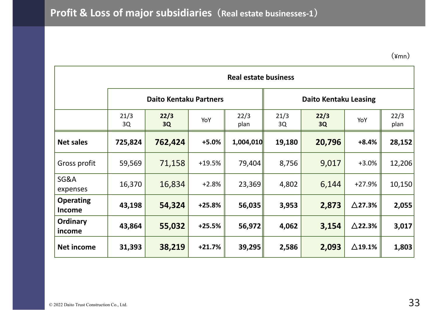|                             |            | <b>Real estate business</b>   |          |              |                              |            |                   |              |  |  |  |  |  |
|-----------------------------|------------|-------------------------------|----------|--------------|------------------------------|------------|-------------------|--------------|--|--|--|--|--|
|                             |            | <b>Daito Kentaku Partners</b> |          |              | <b>Daito Kentaku Leasing</b> |            |                   |              |  |  |  |  |  |
|                             | 21/3<br>3Q | 22/3<br>3Q                    | YoY      | 22/3<br>plan | 21/3<br>3Q                   | 22/3<br>3Q | YoY               | 22/3<br>plan |  |  |  |  |  |
| <b>Net sales</b>            | 725,824    | 762,424                       | $+5.0%$  | 1,004,010    | 19,180                       | 20,796     | $+8.4%$           | 28,152       |  |  |  |  |  |
| Gross profit                | 59,569     | 71,158                        | $+19.5%$ | 79,404       | 8,756                        | 9,017      | $+3.0%$           | 12,206       |  |  |  |  |  |
| <b>SG&amp;A</b><br>expenses | 16,370     | 16,834                        | $+2.8%$  | 23,369       | 4,802                        | 6,144      | $+27.9%$          | 10,150       |  |  |  |  |  |
| <b>Operating</b><br>Income  | 43,198     | 54,324                        | $+25.8%$ | 56,035       | 3,953                        | 2,873      | $\triangle$ 27.3% | 2,055        |  |  |  |  |  |
| <b>Ordinary</b><br>income   | 43,864     | 55,032                        | $+25.5%$ | 56,972       | 4,062                        | 3,154      | $\triangle$ 22.3% | 3,017        |  |  |  |  |  |
| <b>Net income</b>           | 31,393     | 38,219                        | $+21.7%$ | 39,295       | 2,586                        | 2,093      | $\triangle$ 19.1% | 1,803        |  |  |  |  |  |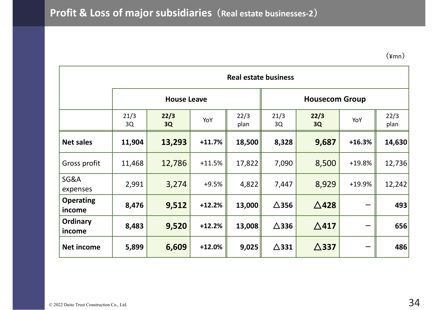$(\text{4mn})$ 

|                            | <b>Real estate business</b> |                    |          |              |                       |                 |          |              |  |  |  |  |  |
|----------------------------|-----------------------------|--------------------|----------|--------------|-----------------------|-----------------|----------|--------------|--|--|--|--|--|
|                            |                             | <b>House Leave</b> |          |              | <b>Housecom Group</b> |                 |          |              |  |  |  |  |  |
|                            | 21/3<br>3Q                  | 22/3<br>3Q         | YoY      | 22/3<br>plan | 21/3<br>3Q            | 22/3<br>3Q      | YoY      | 22/3<br>plan |  |  |  |  |  |
| <b>Net sales</b>           | 11,904                      | 13,293             | $+11.7%$ | 18,500       | 8,328                 | 9,687           | $+16.3%$ | 14,630       |  |  |  |  |  |
| Gross profit               | 11,468                      | 12,786             | $+11.5%$ | 17,822       | 7,090                 | 8,500           | +19.8%   | 12,736       |  |  |  |  |  |
| SG&A<br>expenses           | 2,991                       | 3,274              | $+9.5%$  | 4,822        | 7,447                 | 8,929           | +19.9%   | 12,242       |  |  |  |  |  |
| <b>Operating</b><br>income | 8,476                       | 9,512              | $+12.2%$ | 13,000       | $\triangle$ 356       | $\triangle$ 428 |          | 493          |  |  |  |  |  |
| Ordinary<br>income         | 8,483                       | 9,520              | $+12.2%$ | 13,008       | $\triangle$ 336       | $\triangle$ 417 |          | 656          |  |  |  |  |  |
| <b>Net income</b>          | 5,899                       | 6,609              | $+12.0%$ | 9,025        | $\triangle$ 331       | $\triangle$ 337 |          | 486          |  |  |  |  |  |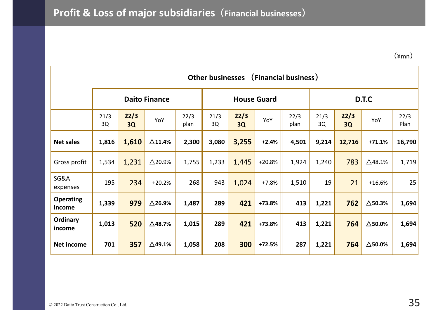|                            | (Financial business)<br><b>Other businesses</b> |            |                   |              |                    |            |          |              |            |            |                   |              |  |  |
|----------------------------|-------------------------------------------------|------------|-------------------|--------------|--------------------|------------|----------|--------------|------------|------------|-------------------|--------------|--|--|
|                            | <b>Daito Finance</b>                            |            |                   |              | <b>House Guard</b> |            |          |              |            | D.T.C      |                   |              |  |  |
|                            | 21/3<br>3Q                                      | 22/3<br>3Q | YoY               | 22/3<br>plan | 21/3<br>3Q         | 22/3<br>3Q | YoY      | 22/3<br>plan | 21/3<br>3Q | 22/3<br>3Q | YoY               | 22/3<br>Plan |  |  |
| <b>Net sales</b>           | 1,816                                           | 1,610      | $\Delta$ 11.4%    | 2,300        | 3,080              | 3,255      | $+2.4%$  | 4,501        | 9,214      | 12,716     | $+71.1%$          | 16,790       |  |  |
| Gross profit               | 1,534                                           | 1,231      | $\triangle$ 20.9% | 1,755        | 1,233              | 1,445      | $+20.8%$ | 1,924        | 1,240      | 783        | $\triangle$ 48.1% | 1,719        |  |  |
| SG&A<br>expenses           | 195                                             | 234        | $+20.2%$          | 268          | 943                | 1,024      | $+7.8%$  | 1,510        | 19         | 21         | $+16.6%$          | 25           |  |  |
| <b>Operating</b><br>income | 1,339                                           | 979        | $\triangle$ 26.9% | 1,487        | 289                | 421        | +73.8%   | 413          | 1,221      | 762        | $\triangle$ 50.3% | 1,694        |  |  |
| Ordinary<br>income         | 1,013                                           | 520        | $\triangle$ 48.7% | 1,015        | 289                | 421        | +73.8%   | 413          | 1,221      | 764        | $\Delta$ 50.0%    | 1,694        |  |  |
| <b>Net income</b>          | 701                                             | 357        | $\triangle$ 49.1% | 1,058        | 208                | 300        | $+72.5%$ | 287          | 1,221      | 764        | $\Delta$ 50.0%    | 1,694        |  |  |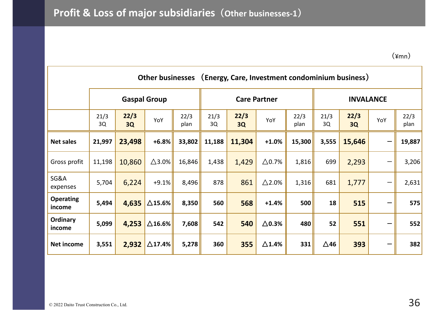|                             |            |                     | <b>Other businesses</b> |              | (Energy, Care, Investment condominium business) |            |                  |              |             |                  |     |              |  |
|-----------------------------|------------|---------------------|-------------------------|--------------|-------------------------------------------------|------------|------------------|--------------|-------------|------------------|-----|--------------|--|
|                             |            | <b>Gaspal Group</b> |                         |              | <b>Care Partner</b>                             |            |                  |              |             | <b>INVALANCE</b> |     |              |  |
|                             | 21/3<br>3Q | 22/3<br>3Q          | YoY                     | 22/3<br>plan | 21/3<br>3Q                                      | 22/3<br>3Q | YoY              | 22/3<br>plan | 21/3<br>3Q  | 22/3<br>3Q       | YoY | 22/3<br>plan |  |
| <b>Net sales</b>            | 21,997     | 23,498              | $+6.8%$                 | 33,802       | 11,188                                          | 11,304     | $+1.0%$          | 15,300       | 3,555       | 15,646           |     | 19,887       |  |
| Gross profit                | 11,198     | 10,860              | $\triangle$ 3.0%        | 16,846       | 1,438                                           | 1,429      | $\triangle$ 0.7% | 1,816        | 699         | 2,293            |     | 3,206        |  |
| <b>SG&amp;A</b><br>expenses | 5,704      | 6,224               | $+9.1\%$                | 8,496        | 878                                             | 861        | $\triangle$ 2.0% | 1,316        | 681         | 1,777            | —   | 2,631        |  |
| <b>Operating</b><br>income  | 5,494      | 4,635               | $\triangle$ 15.6%       | 8,350        | 560                                             | 568        | $+1.4%$          | 500          | 18          | 515              | —   | 575          |  |
| Ordinary<br>income          | 5,099      | 4,253               | $\triangle$ 16.6%       | 7,608        | 542                                             | 540        | $\Delta$ 0.3%    | 480          | 52          | 551              |     | 552          |  |
| Net income                  | 3,551      | 2,932               | $\triangle$ 17.4%       | 5,278        | 360                                             | 355        | $\triangle$ 1.4% | 331          | $\Delta$ 46 | 393              |     | 382          |  |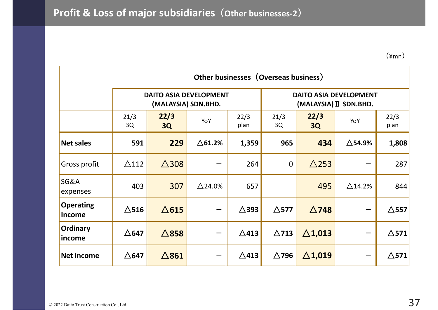|                                   | Other businesses (Overseas business) |                                                      |                   |                 |                 |                                                         |                   |                 |  |  |  |  |  |
|-----------------------------------|--------------------------------------|------------------------------------------------------|-------------------|-----------------|-----------------|---------------------------------------------------------|-------------------|-----------------|--|--|--|--|--|
|                                   |                                      | <b>DAITO ASIA DEVELOPMENT</b><br>(MALAYSIA) SDN.BHD. |                   |                 |                 | <b>DAITO ASIA DEVELOPMENT</b><br>(MALAYSIA) II SDN.BHD. |                   |                 |  |  |  |  |  |
|                                   | 21/3<br>3Q                           | 22/3<br>3Q                                           | YoY               | 22/3<br>plan    | 21/3<br>3Q      | 22/3<br><b>3Q</b>                                       | YoY               | 22/3<br>plan    |  |  |  |  |  |
| <b>Net sales</b>                  | 591                                  | 229                                                  | $\Delta$ 61.2%    | 1,359           | 965             | 434                                                     | $\triangle$ 54.9% | 1,808           |  |  |  |  |  |
| Gross profit                      | $\triangle$ 112                      | $\triangle$ 308                                      |                   | 264             | $\mathbf 0$     | $\triangle$ 253                                         |                   | 287             |  |  |  |  |  |
| SG&A<br>expenses                  | 403                                  | 307                                                  | $\triangle$ 24.0% | 657             |                 | 495                                                     | $\triangle$ 14.2% | 844             |  |  |  |  |  |
| <b>Operating</b><br><b>Income</b> | $\Delta$ 516                         | $\triangle$ 615                                      |                   | $\triangle$ 393 | $\triangle$ 577 | $\triangle$ 748                                         |                   | $\triangle$ 557 |  |  |  |  |  |
| <b>Ordinary</b><br>income         | $\triangle$ 647                      | $\triangle$ 858                                      |                   | $\triangle$ 413 | $\triangle$ 713 | $\Delta$ 1,013                                          |                   | $\triangle$ 571 |  |  |  |  |  |
| <b>Net income</b>                 | $\Delta$ 647                         | $\triangle$ 861                                      |                   | $\triangle$ 413 | $\triangle$ 796 | $\Delta$ 1,019                                          |                   | $\triangle$ 571 |  |  |  |  |  |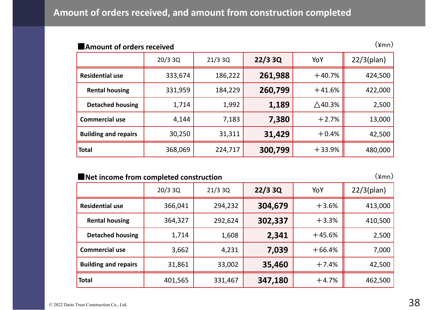| $(\text{\texttt{Ymn}})$<br>Amount of orders received |         |         |         |                   |               |  |
|------------------------------------------------------|---------|---------|---------|-------------------|---------------|--|
|                                                      | 20/33Q  | 21/33Q  | 22/33Q  | YoY               | $22/3$ (plan) |  |
| <b>Residential use</b>                               | 333,674 | 186,222 | 261,988 | $+40.7%$          | 424,500       |  |
| <b>Rental housing</b>                                | 331,959 | 184,229 | 260,799 | $+41.6%$          | 422,000       |  |
| <b>Detached housing</b>                              | 1,714   | 1,992   | 1,189   | $\triangle$ 40.3% | 2,500         |  |
| <b>Commercial use</b>                                | 4,144   | 7,183   | 7,380   | $+2.7%$           | 13,000        |  |
| <b>Building and repairs</b>                          | 30,250  | 31,311  | 31,429  | $+0.4%$           | 42,500        |  |
| <b>Total</b>                                         | 368,069 | 224,717 | 300,799 | $+33.9%$          | 480,000       |  |

#### **■Net income from completed construction**

 $(\frac{2}{\pi})$ 

|                             | 20/33Q  | 21/33Q  | 22/33Q  | YoY      | $22/3$ (plan) |  |
|-----------------------------|---------|---------|---------|----------|---------------|--|
| <b>Residential use</b>      | 366,041 | 294,232 | 304,679 | $+3.6%$  | 413,000       |  |
| <b>Rental housing</b>       | 364,327 | 292,624 | 302,337 | $+3.3%$  | 410,500       |  |
| <b>Detached housing</b>     | 1,714   | 1,608   | 2,341   | $+45.6%$ | 2,500         |  |
| <b>Commercial use</b>       | 3,662   | 4,231   | 7,039   | $+66.4%$ | 7,000         |  |
| <b>Building and repairs</b> | 31,861  | 33,002  | 35,460  | $+7.4%$  | 42,500        |  |
| <b>Total</b>                | 401,565 | 331,467 | 347,180 | $+4.7%$  | 462,500       |  |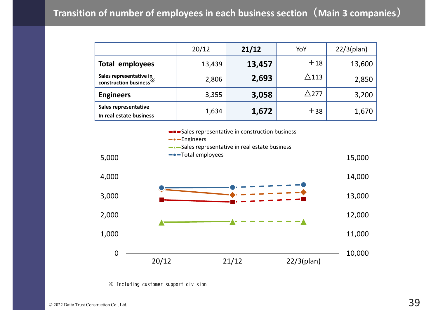|                                                               | 20/12  | 21/12  | YoY             | $22/3$ (plan) |
|---------------------------------------------------------------|--------|--------|-----------------|---------------|
| <b>Total employees</b>                                        | 13,439 | 13,457 | $+18$           | 13,600        |
| Sales representative in<br>construction business <sup>※</sup> | 2,806  | 2,693  | $\triangle$ 113 | 2,850         |
| <b>Engineers</b>                                              | 3,355  | 3,058  | $\triangle$ 277 | 3,200         |
| <b>Sales representative</b><br>In real estate business        | 1,634  | 1,672  | $+38$           | 1,670         |



※ Including customer support division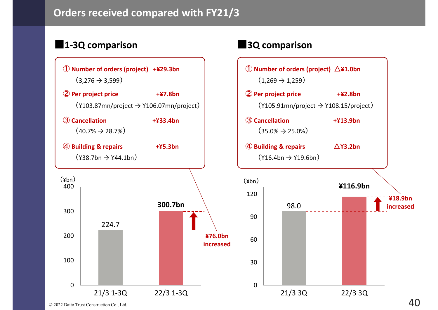### **Orders received compared with FY21/3**

### **■1-3Q comparison ■3Q comparison**



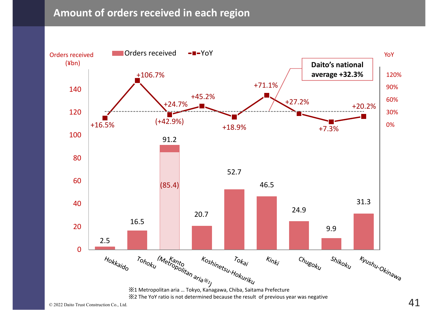#### **Amount of orders received in each region**

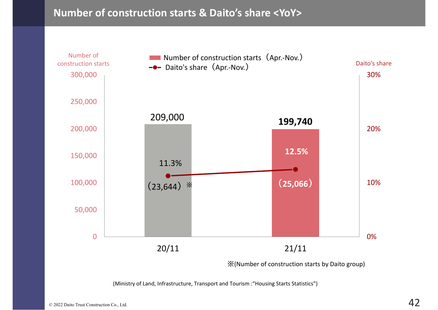#### **Number of construction starts & Daito's share <YoY>**



(Ministry of Land, Infrastructure, Transport and Tourism :"Housing Starts Statistics")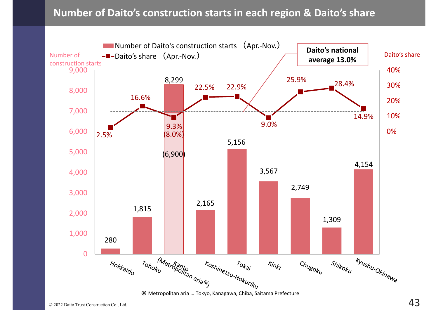### **Number of Daito's construction starts in each region & Daito's share**



※ Metropolitan aria … Tokyo, Kanagawa, Chiba, Saitama Prefecture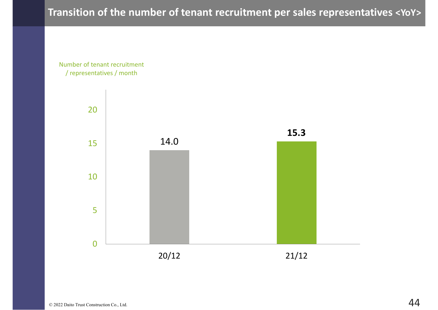### **Transition of the number of tenant recruitment per sales representatives <YoY>**

Number of tenant recruitment / representatives / month

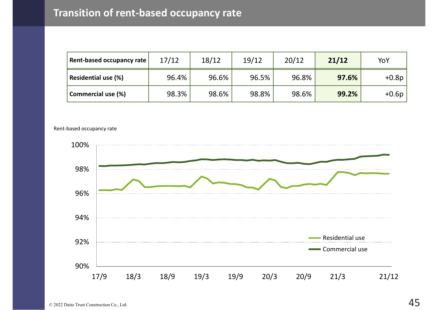| Rent-based occupancy rate  | 17/12 | 18/12 | 19/12 | 20/12 | 21/12 | YoY     |
|----------------------------|-------|-------|-------|-------|-------|---------|
| <b>Residential use (%)</b> | 96.4% | 96.6% | 96.5% | 96.8% | 97.6% | $+0.8p$ |
| <b>Commercial use (%)</b>  | 98.3% | 98.6% | 98.8% | 98.6% | 99.2% | $+0.6p$ |

Rent-based occupancy rate

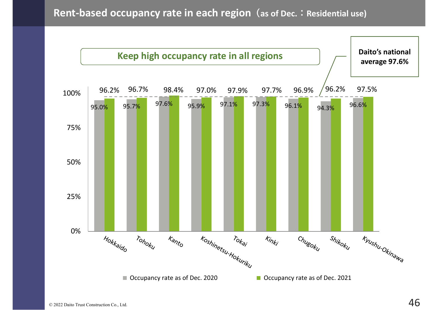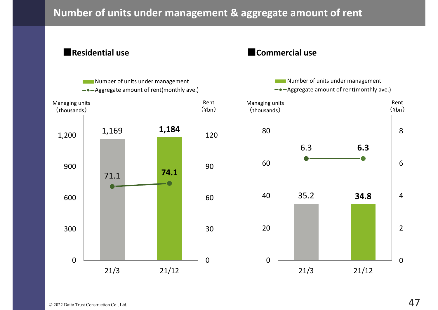### **Number of units under management & aggregate amount of rent**

**■Residential use**

#### **■Commercial use**

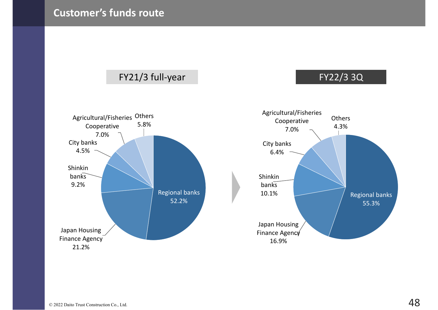

### FY21/3 full-year FY22/3 3Q



21.2%